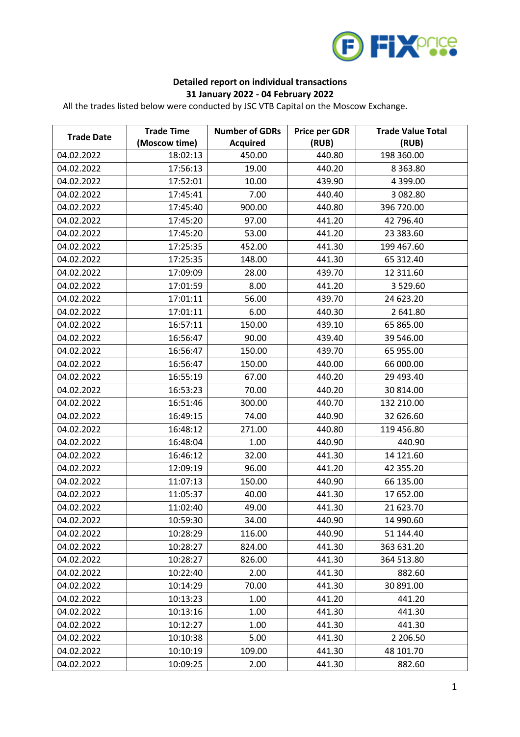

## **Detailed report on individual transactions 31 January 2022 - 04 February 2022**

All the trades listed below were conducted by JSC VTB Capital on the Moscow Exchange.

| <b>Trade Date</b> | <b>Trade Time</b> | <b>Number of GDRs</b> | <b>Price per GDR</b> | <b>Trade Value Total</b> |
|-------------------|-------------------|-----------------------|----------------------|--------------------------|
|                   | (Moscow time)     | <b>Acquired</b>       | (RUB)                | (RUB)                    |
| 04.02.2022        | 18:02:13          | 450.00                | 440.80               | 198 360.00               |
| 04.02.2022        | 17:56:13          | 19.00                 | 440.20               | 8 3 6 3.80               |
| 04.02.2022        | 17:52:01          | 10.00                 | 439.90               | 4 399.00                 |
| 04.02.2022        | 17:45:41          | 7.00                  | 440.40               | 3 082.80                 |
| 04.02.2022        | 17:45:40          | 900.00                | 440.80               | 396 720.00               |
| 04.02.2022        | 17:45:20          | 97.00                 | 441.20               | 42 796.40                |
| 04.02.2022        | 17:45:20          | 53.00                 | 441.20               | 23 383.60                |
| 04.02.2022        | 17:25:35          | 452.00                | 441.30               | 199 467.60               |
| 04.02.2022        | 17:25:35          | 148.00                | 441.30               | 65 312.40                |
| 04.02.2022        | 17:09:09          | 28.00                 | 439.70               | 12 311.60                |
| 04.02.2022        | 17:01:59          | 8.00                  | 441.20               | 3 5 2 9 .60              |
| 04.02.2022        | 17:01:11          | 56.00                 | 439.70               | 24 623.20                |
| 04.02.2022        | 17:01:11          | 6.00                  | 440.30               | 2 641.80                 |
| 04.02.2022        | 16:57:11          | 150.00                | 439.10               | 65 865.00                |
| 04.02.2022        | 16:56:47          | 90.00                 | 439.40               | 39 546.00                |
| 04.02.2022        | 16:56:47          | 150.00                | 439.70               | 65 955.00                |
| 04.02.2022        | 16:56:47          | 150.00                | 440.00               | 66 000.00                |
| 04.02.2022        | 16:55:19          | 67.00                 | 440.20               | 29 493.40                |
| 04.02.2022        | 16:53:23          | 70.00                 | 440.20               | 30 814.00                |
| 04.02.2022        | 16:51:46          | 300.00                | 440.70               | 132 210.00               |
| 04.02.2022        | 16:49:15          | 74.00                 | 440.90               | 32 626.60                |
| 04.02.2022        | 16:48:12          | 271.00                | 440.80               | 119 456.80               |
| 04.02.2022        | 16:48:04          | 1.00                  | 440.90               | 440.90                   |
| 04.02.2022        | 16:46:12          | 32.00                 | 441.30               | 14 121.60                |
| 04.02.2022        | 12:09:19          | 96.00                 | 441.20               | 42 355.20                |
| 04.02.2022        | 11:07:13          | 150.00                | 440.90               | 66 135.00                |
| 04.02.2022        | 11:05:37          | 40.00                 | 441.30               | 17 652.00                |
| 04.02.2022        | 11:02:40          | 49.00                 | 441.30               | 21 623.70                |
| 04.02.2022        | 10:59:30          | 34.00                 | 440.90               | 14 990.60                |
| 04.02.2022        | 10:28:29          | 116.00                | 440.90               | 51 144.40                |
| 04.02.2022        | 10:28:27          | 824.00                | 441.30               | 363 631.20               |
| 04.02.2022        | 10:28:27          | 826.00                | 441.30               | 364 513.80               |
| 04.02.2022        | 10:22:40          | 2.00                  | 441.30               | 882.60                   |
| 04.02.2022        | 10:14:29          | 70.00                 | 441.30               | 30 891.00                |
| 04.02.2022        | 10:13:23          | 1.00                  | 441.20               | 441.20                   |
| 04.02.2022        | 10:13:16          | 1.00                  | 441.30               | 441.30                   |
| 04.02.2022        | 10:12:27          | 1.00                  | 441.30               | 441.30                   |
| 04.02.2022        | 10:10:38          | 5.00                  | 441.30               | 2 206.50                 |
| 04.02.2022        | 10:10:19          | 109.00                | 441.30               | 48 101.70                |
| 04.02.2022        | 10:09:25          | 2.00                  | 441.30               | 882.60                   |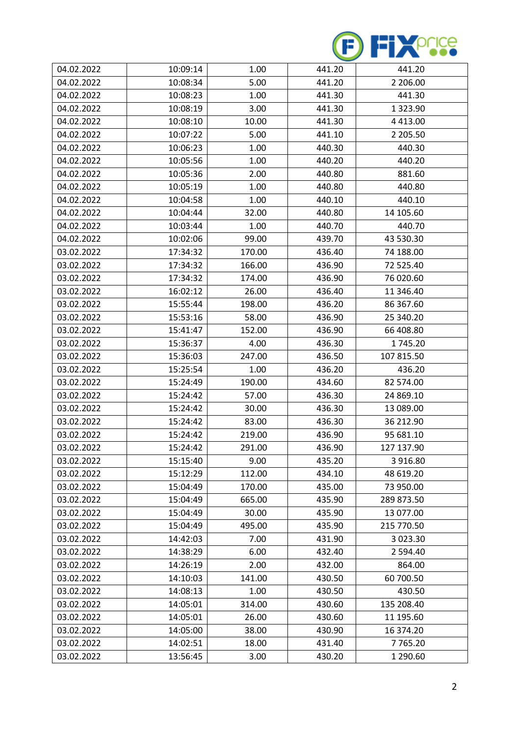

| 04.02.2022 | 10:09:14 | 1.00   | 441.20 | 441.20        |
|------------|----------|--------|--------|---------------|
| 04.02.2022 | 10:08:34 | 5.00   | 441.20 | 2 206.00      |
| 04.02.2022 | 10:08:23 | 1.00   | 441.30 | 441.30        |
| 04.02.2022 | 10:08:19 | 3.00   | 441.30 | 1 3 2 3 . 9 0 |
| 04.02.2022 | 10:08:10 | 10.00  | 441.30 | 4 4 1 3 .00   |
| 04.02.2022 | 10:07:22 | 5.00   | 441.10 | 2 205.50      |
| 04.02.2022 | 10:06:23 | 1.00   | 440.30 | 440.30        |
| 04.02.2022 | 10:05:56 | 1.00   | 440.20 | 440.20        |
| 04.02.2022 | 10:05:36 | 2.00   | 440.80 | 881.60        |
| 04.02.2022 | 10:05:19 | 1.00   | 440.80 | 440.80        |
| 04.02.2022 | 10:04:58 | 1.00   | 440.10 | 440.10        |
| 04.02.2022 | 10:04:44 | 32.00  | 440.80 | 14 105.60     |
| 04.02.2022 | 10:03:44 | 1.00   | 440.70 | 440.70        |
| 04.02.2022 | 10:02:06 | 99.00  | 439.70 | 43 530.30     |
| 03.02.2022 | 17:34:32 | 170.00 | 436.40 | 74 188.00     |
| 03.02.2022 | 17:34:32 | 166.00 | 436.90 | 72 525.40     |
| 03.02.2022 | 17:34:32 | 174.00 | 436.90 | 76 020.60     |
| 03.02.2022 | 16:02:12 | 26.00  | 436.40 | 11 346.40     |
| 03.02.2022 | 15:55:44 | 198.00 | 436.20 | 86 367.60     |
| 03.02.2022 | 15:53:16 | 58.00  | 436.90 | 25 340.20     |
| 03.02.2022 | 15:41:47 | 152.00 | 436.90 | 66 408.80     |
| 03.02.2022 | 15:36:37 | 4.00   | 436.30 | 1745.20       |
| 03.02.2022 | 15:36:03 | 247.00 | 436.50 | 107 815.50    |
| 03.02.2022 | 15:25:54 | 1.00   | 436.20 | 436.20        |
| 03.02.2022 | 15:24:49 | 190.00 | 434.60 | 82 574.00     |
| 03.02.2022 | 15:24:42 | 57.00  | 436.30 | 24 869.10     |
| 03.02.2022 | 15:24:42 | 30.00  | 436.30 | 13 089.00     |
| 03.02.2022 | 15:24:42 | 83.00  | 436.30 | 36 212.90     |
| 03.02.2022 | 15:24:42 | 219.00 | 436.90 | 95 681.10     |
| 03.02.2022 | 15:24:42 | 291.00 | 436.90 | 127 137.90    |
| 03.02.2022 | 15:15:40 | 9.00   | 435.20 | 3 916.80      |
| 03.02.2022 | 15:12:29 | 112.00 | 434.10 | 48 619.20     |
| 03.02.2022 | 15:04:49 | 170.00 | 435.00 | 73 950.00     |
| 03.02.2022 | 15:04:49 | 665.00 | 435.90 | 289 873.50    |
| 03.02.2022 | 15:04:49 | 30.00  | 435.90 | 13 077.00     |
| 03.02.2022 | 15:04:49 | 495.00 | 435.90 | 215 770.50    |
| 03.02.2022 | 14:42:03 | 7.00   | 431.90 | 3 023.30      |
| 03.02.2022 | 14:38:29 | 6.00   | 432.40 | 2 594.40      |
| 03.02.2022 | 14:26:19 | 2.00   | 432.00 | 864.00        |
| 03.02.2022 | 14:10:03 | 141.00 | 430.50 | 60 700.50     |
| 03.02.2022 | 14:08:13 | 1.00   | 430.50 | 430.50        |
| 03.02.2022 | 14:05:01 | 314.00 | 430.60 | 135 208.40    |
| 03.02.2022 | 14:05:01 | 26.00  | 430.60 | 11 195.60     |
| 03.02.2022 | 14:05:00 | 38.00  | 430.90 | 16 374.20     |
| 03.02.2022 | 14:02:51 | 18.00  | 431.40 | 7765.20       |
| 03.02.2022 | 13:56:45 | 3.00   | 430.20 | 1 290.60      |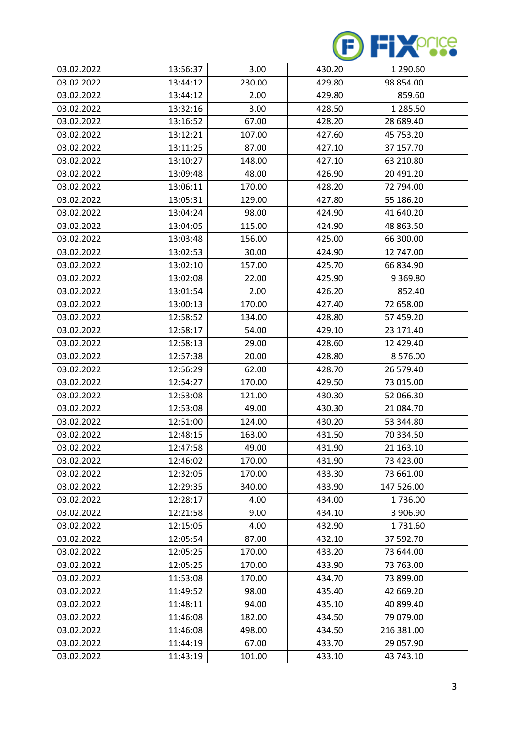

| 03.02.2022 | 13:56:37 | 3.00   | 430.20 | 1 290.60      |
|------------|----------|--------|--------|---------------|
| 03.02.2022 | 13:44:12 | 230.00 | 429.80 | 98 854.00     |
| 03.02.2022 | 13:44:12 | 2.00   | 429.80 | 859.60        |
| 03.02.2022 | 13:32:16 | 3.00   | 428.50 | 1 285.50      |
| 03.02.2022 | 13:16:52 | 67.00  | 428.20 | 28 689.40     |
| 03.02.2022 | 13:12:21 | 107.00 | 427.60 | 45 753.20     |
| 03.02.2022 | 13:11:25 | 87.00  | 427.10 | 37 157.70     |
| 03.02.2022 | 13:10:27 | 148.00 | 427.10 | 63 210.80     |
| 03.02.2022 | 13:09:48 | 48.00  | 426.90 | 20 491.20     |
| 03.02.2022 | 13:06:11 | 170.00 | 428.20 | 72 794.00     |
| 03.02.2022 | 13:05:31 | 129.00 | 427.80 | 55 186.20     |
| 03.02.2022 | 13:04:24 | 98.00  | 424.90 | 41 640.20     |
| 03.02.2022 | 13:04:05 | 115.00 | 424.90 | 48 863.50     |
| 03.02.2022 | 13:03:48 | 156.00 | 425.00 | 66 300.00     |
| 03.02.2022 | 13:02:53 | 30.00  | 424.90 | 12 747.00     |
| 03.02.2022 | 13:02:10 | 157.00 | 425.70 | 66 834.90     |
| 03.02.2022 | 13:02:08 | 22.00  | 425.90 | 9 3 6 9 . 8 0 |
| 03.02.2022 | 13:01:54 | 2.00   | 426.20 | 852.40        |
| 03.02.2022 | 13:00:13 | 170.00 | 427.40 | 72 658.00     |
| 03.02.2022 | 12:58:52 | 134.00 | 428.80 | 57 459.20     |
| 03.02.2022 | 12:58:17 | 54.00  | 429.10 | 23 171.40     |
| 03.02.2022 | 12:58:13 | 29.00  | 428.60 | 12 429.40     |
| 03.02.2022 | 12:57:38 | 20.00  | 428.80 | 8576.00       |
| 03.02.2022 | 12:56:29 | 62.00  | 428.70 | 26 579.40     |
| 03.02.2022 | 12:54:27 | 170.00 | 429.50 | 73 015.00     |
| 03.02.2022 | 12:53:08 | 121.00 | 430.30 | 52 066.30     |
| 03.02.2022 | 12:53:08 | 49.00  | 430.30 | 21 084.70     |
| 03.02.2022 | 12:51:00 | 124.00 | 430.20 | 53 344.80     |
| 03.02.2022 | 12:48:15 | 163.00 | 431.50 | 70 334.50     |
| 03.02.2022 | 12:47:58 | 49.00  | 431.90 | 21 163.10     |
| 03.02.2022 | 12:46:02 | 170.00 | 431.90 | 73 423.00     |
| 03.02.2022 | 12:32:05 | 170.00 | 433.30 | 73 661.00     |
| 03.02.2022 | 12:29:35 | 340.00 | 433.90 | 147 526.00    |
| 03.02.2022 | 12:28:17 | 4.00   | 434.00 | 1736.00       |
| 03.02.2022 | 12:21:58 | 9.00   | 434.10 | 3 906.90      |
| 03.02.2022 | 12:15:05 | 4.00   | 432.90 | 1731.60       |
| 03.02.2022 | 12:05:54 | 87.00  | 432.10 | 37 592.70     |
| 03.02.2022 | 12:05:25 | 170.00 | 433.20 | 73 644.00     |
| 03.02.2022 | 12:05:25 | 170.00 | 433.90 | 73 763.00     |
| 03.02.2022 | 11:53:08 | 170.00 | 434.70 | 73 899.00     |
| 03.02.2022 | 11:49:52 | 98.00  | 435.40 | 42 669.20     |
| 03.02.2022 | 11:48:11 | 94.00  | 435.10 | 40 899.40     |
| 03.02.2022 | 11:46:08 | 182.00 | 434.50 | 79 079.00     |
| 03.02.2022 | 11:46:08 | 498.00 | 434.50 | 216 381.00    |
| 03.02.2022 | 11:44:19 | 67.00  | 433.70 | 29 057.90     |
| 03.02.2022 | 11:43:19 | 101.00 | 433.10 | 43 743.10     |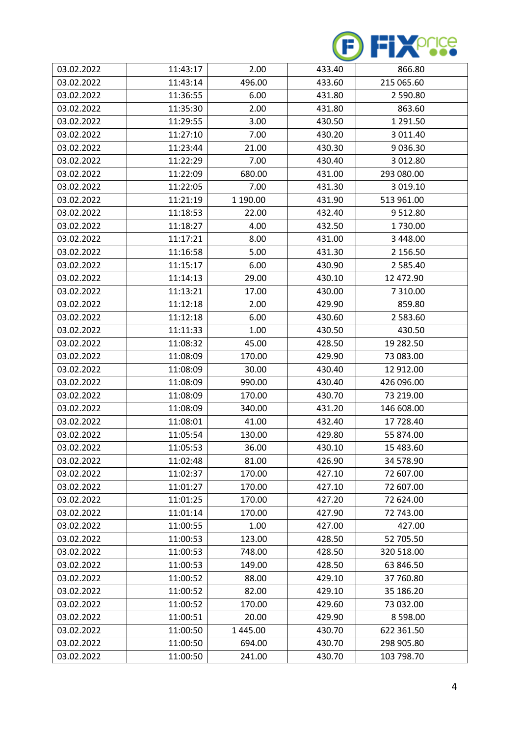

| 03.02.2022 | 11:43:17 | 2.00     | 433.40 | 866.80      |
|------------|----------|----------|--------|-------------|
| 03.02.2022 | 11:43:14 | 496.00   | 433.60 | 215 065.60  |
| 03.02.2022 | 11:36:55 | 6.00     | 431.80 | 2 590.80    |
| 03.02.2022 | 11:35:30 | 2.00     | 431.80 | 863.60      |
| 03.02.2022 | 11:29:55 | 3.00     | 430.50 | 1 291.50    |
| 03.02.2022 | 11:27:10 | 7.00     | 430.20 | 3 011.40    |
| 03.02.2022 | 11:23:44 | 21.00    | 430.30 | 9036.30     |
| 03.02.2022 | 11:22:29 | 7.00     | 430.40 | 3 012.80    |
| 03.02.2022 | 11:22:09 | 680.00   | 431.00 | 293 080.00  |
| 03.02.2022 | 11:22:05 | 7.00     | 431.30 | 3 019.10    |
| 03.02.2022 | 11:21:19 | 1 190.00 | 431.90 | 513 961.00  |
| 03.02.2022 | 11:18:53 | 22.00    | 432.40 | 9512.80     |
| 03.02.2022 | 11:18:27 | 4.00     | 432.50 | 1730.00     |
| 03.02.2022 | 11:17:21 | 8.00     | 431.00 | 3 448.00    |
| 03.02.2022 | 11:16:58 | 5.00     | 431.30 | 2 156.50    |
| 03.02.2022 | 11:15:17 | 6.00     | 430.90 | 2 585.40    |
| 03.02.2022 | 11:14:13 | 29.00    | 430.10 | 12 472.90   |
| 03.02.2022 | 11:13:21 | 17.00    | 430.00 | 7 310.00    |
| 03.02.2022 | 11:12:18 | 2.00     | 429.90 | 859.80      |
| 03.02.2022 | 11:12:18 | 6.00     | 430.60 | 2 583.60    |
| 03.02.2022 | 11:11:33 | 1.00     | 430.50 | 430.50      |
| 03.02.2022 | 11:08:32 | 45.00    | 428.50 | 19 282.50   |
| 03.02.2022 | 11:08:09 | 170.00   | 429.90 | 73 083.00   |
| 03.02.2022 | 11:08:09 | 30.00    | 430.40 | 12 912.00   |
| 03.02.2022 | 11:08:09 | 990.00   | 430.40 | 426 096.00  |
| 03.02.2022 | 11:08:09 | 170.00   | 430.70 | 73 219.00   |
| 03.02.2022 | 11:08:09 | 340.00   | 431.20 | 146 608.00  |
| 03.02.2022 | 11:08:01 | 41.00    | 432.40 | 17 728.40   |
| 03.02.2022 | 11:05:54 | 130.00   | 429.80 | 55 874.00   |
| 03.02.2022 | 11:05:53 | 36.00    | 430.10 | 15 483.60   |
| 03.02.2022 | 11:02:48 | 81.00    | 426.90 | 34 578.90   |
| 03.02.2022 | 11:02:37 | 170.00   | 427.10 | 72 607.00   |
| 03.02.2022 | 11:01:27 | 170.00   | 427.10 | 72 607.00   |
| 03.02.2022 | 11:01:25 | 170.00   | 427.20 | 72 624.00   |
| 03.02.2022 | 11:01:14 | 170.00   | 427.90 | 72 743.00   |
| 03.02.2022 | 11:00:55 | 1.00     | 427.00 | 427.00      |
| 03.02.2022 | 11:00:53 | 123.00   | 428.50 | 52 705.50   |
| 03.02.2022 | 11:00:53 | 748.00   | 428.50 | 320 518.00  |
| 03.02.2022 | 11:00:53 | 149.00   | 428.50 | 63 846.50   |
| 03.02.2022 | 11:00:52 | 88.00    | 429.10 | 37 760.80   |
| 03.02.2022 | 11:00:52 | 82.00    | 429.10 | 35 186.20   |
| 03.02.2022 | 11:00:52 | 170.00   | 429.60 | 73 032.00   |
| 03.02.2022 | 11:00:51 | 20.00    | 429.90 | 8 5 9 8 .00 |
| 03.02.2022 | 11:00:50 | 1445.00  | 430.70 | 622 361.50  |
| 03.02.2022 | 11:00:50 | 694.00   | 430.70 | 298 905.80  |
| 03.02.2022 | 11:00:50 | 241.00   | 430.70 | 103 798.70  |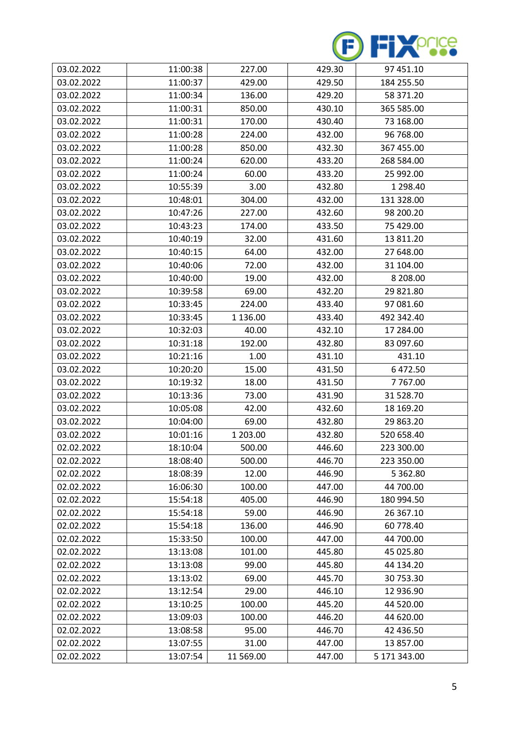

| 03.02.2022 | 11:00:38 | 227.00    | 429.30 | 97 451.10     |
|------------|----------|-----------|--------|---------------|
| 03.02.2022 | 11:00:37 | 429.00    | 429.50 | 184 255.50    |
| 03.02.2022 | 11:00:34 | 136.00    | 429.20 | 58 371.20     |
| 03.02.2022 | 11:00:31 | 850.00    | 430.10 | 365 585.00    |
| 03.02.2022 | 11:00:31 | 170.00    | 430.40 | 73 168.00     |
| 03.02.2022 | 11:00:28 | 224.00    | 432.00 | 96 768.00     |
| 03.02.2022 | 11:00:28 | 850.00    | 432.30 | 367 455.00    |
| 03.02.2022 | 11:00:24 | 620.00    | 433.20 | 268 584.00    |
| 03.02.2022 | 11:00:24 | 60.00     | 433.20 | 25 992.00     |
| 03.02.2022 | 10:55:39 | 3.00      | 432.80 | 1 298.40      |
| 03.02.2022 | 10:48:01 | 304.00    | 432.00 | 131 328.00    |
| 03.02.2022 | 10:47:26 | 227.00    | 432.60 | 98 200.20     |
| 03.02.2022 | 10:43:23 | 174.00    | 433.50 | 75 429.00     |
| 03.02.2022 | 10:40:19 | 32.00     | 431.60 | 13 811.20     |
| 03.02.2022 | 10:40:15 | 64.00     | 432.00 | 27 648.00     |
| 03.02.2022 | 10:40:06 | 72.00     | 432.00 | 31 104.00     |
| 03.02.2022 | 10:40:00 | 19.00     | 432.00 | 8 208.00      |
| 03.02.2022 | 10:39:58 | 69.00     | 432.20 | 29 821.80     |
| 03.02.2022 | 10:33:45 | 224.00    | 433.40 | 97 081.60     |
| 03.02.2022 | 10:33:45 | 1 136.00  | 433.40 | 492 342.40    |
| 03.02.2022 | 10:32:03 | 40.00     | 432.10 | 17 284.00     |
| 03.02.2022 | 10:31:18 | 192.00    | 432.80 | 83 097.60     |
| 03.02.2022 | 10:21:16 | 1.00      | 431.10 | 431.10        |
| 03.02.2022 | 10:20:20 | 15.00     | 431.50 | 6472.50       |
| 03.02.2022 | 10:19:32 | 18.00     | 431.50 | 7767.00       |
| 03.02.2022 | 10:13:36 | 73.00     | 431.90 | 31 528.70     |
| 03.02.2022 | 10:05:08 | 42.00     | 432.60 | 18 169.20     |
| 03.02.2022 | 10:04:00 | 69.00     | 432.80 | 29 863.20     |
| 03.02.2022 | 10:01:16 | 1 203.00  | 432.80 | 520 658.40    |
| 02.02.2022 | 18:10:04 | 500.00    | 446.60 | 223 300.00    |
| 02.02.2022 | 18:08:40 | 500.00    | 446.70 | 223 350.00    |
| 02.02.2022 | 18:08:39 | 12.00     | 446.90 | 5 3 6 2 . 8 0 |
| 02.02.2022 | 16:06:30 | 100.00    | 447.00 | 44 700.00     |
| 02.02.2022 | 15:54:18 | 405.00    | 446.90 | 180 994.50    |
| 02.02.2022 | 15:54:18 | 59.00     | 446.90 | 26 367.10     |
| 02.02.2022 | 15:54:18 | 136.00    | 446.90 | 60 778.40     |
| 02.02.2022 | 15:33:50 | 100.00    | 447.00 | 44 700.00     |
| 02.02.2022 | 13:13:08 | 101.00    | 445.80 | 45 025.80     |
| 02.02.2022 | 13:13:08 | 99.00     | 445.80 | 44 134.20     |
| 02.02.2022 | 13:13:02 | 69.00     | 445.70 | 30 753.30     |
| 02.02.2022 | 13:12:54 | 29.00     | 446.10 | 12 936.90     |
| 02.02.2022 | 13:10:25 | 100.00    | 445.20 | 44 520.00     |
| 02.02.2022 | 13:09:03 | 100.00    | 446.20 | 44 620.00     |
| 02.02.2022 | 13:08:58 | 95.00     | 446.70 | 42 436.50     |
| 02.02.2022 | 13:07:55 | 31.00     | 447.00 | 13 857.00     |
| 02.02.2022 | 13:07:54 | 11 569.00 | 447.00 | 5 171 343.00  |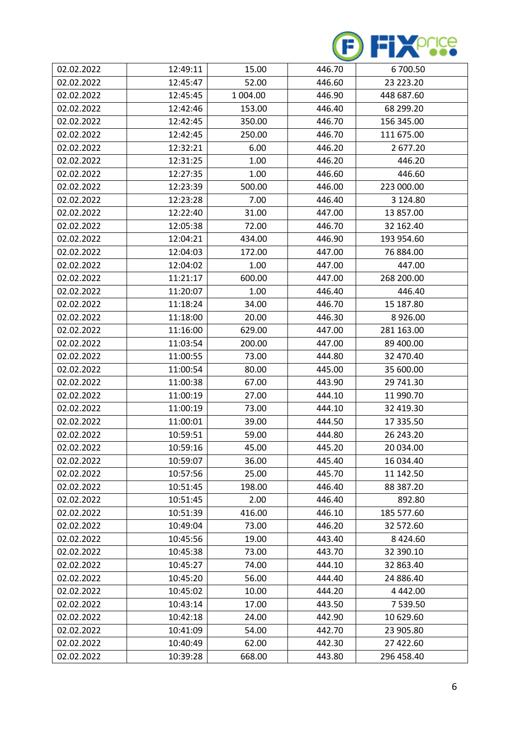

| 02.02.2022 | 12:49:11 | 15.00    | 446.70 | 6700.50     |
|------------|----------|----------|--------|-------------|
| 02.02.2022 | 12:45:47 | 52.00    | 446.60 | 23 223.20   |
| 02.02.2022 | 12:45:45 | 1 004.00 | 446.90 | 448 687.60  |
| 02.02.2022 | 12:42:46 | 153.00   | 446.40 | 68 299.20   |
| 02.02.2022 | 12:42:45 | 350.00   | 446.70 | 156 345.00  |
| 02.02.2022 | 12:42:45 | 250.00   | 446.70 | 111 675.00  |
| 02.02.2022 | 12:32:21 | 6.00     | 446.20 | 2 677.20    |
| 02.02.2022 | 12:31:25 | 1.00     | 446.20 | 446.20      |
| 02.02.2022 | 12:27:35 | 1.00     | 446.60 | 446.60      |
| 02.02.2022 | 12:23:39 | 500.00   | 446.00 | 223 000.00  |
| 02.02.2022 | 12:23:28 | 7.00     | 446.40 | 3 124.80    |
| 02.02.2022 | 12:22:40 | 31.00    | 447.00 | 13 857.00   |
| 02.02.2022 | 12:05:38 | 72.00    | 446.70 | 32 162.40   |
| 02.02.2022 | 12:04:21 | 434.00   | 446.90 | 193 954.60  |
| 02.02.2022 | 12:04:03 | 172.00   | 447.00 | 76 884.00   |
| 02.02.2022 | 12:04:02 | 1.00     | 447.00 | 447.00      |
| 02.02.2022 | 11:21:17 | 600.00   | 447.00 | 268 200.00  |
| 02.02.2022 | 11:20:07 | 1.00     | 446.40 | 446.40      |
| 02.02.2022 | 11:18:24 | 34.00    | 446.70 | 15 187.80   |
| 02.02.2022 | 11:18:00 | 20.00    | 446.30 | 8926.00     |
| 02.02.2022 | 11:16:00 | 629.00   | 447.00 | 281 163.00  |
| 02.02.2022 | 11:03:54 | 200.00   | 447.00 | 89 400.00   |
| 02.02.2022 | 11:00:55 | 73.00    | 444.80 | 32 470.40   |
| 02.02.2022 | 11:00:54 | 80.00    | 445.00 | 35 600.00   |
| 02.02.2022 | 11:00:38 | 67.00    | 443.90 | 29 741.30   |
| 02.02.2022 | 11:00:19 | 27.00    | 444.10 | 11 990.70   |
| 02.02.2022 | 11:00:19 | 73.00    | 444.10 | 32 419.30   |
| 02.02.2022 | 11:00:01 | 39.00    | 444.50 | 17 335.50   |
| 02.02.2022 | 10:59:51 | 59.00    | 444.80 | 26 243.20   |
| 02.02.2022 | 10:59:16 | 45.00    | 445.20 | 20 034.00   |
| 02.02.2022 | 10:59:07 | 36.00    | 445.40 | 16 034.40   |
| 02.02.2022 | 10:57:56 | 25.00    | 445.70 | 11 142.50   |
| 02.02.2022 | 10:51:45 | 198.00   | 446.40 | 88 387.20   |
| 02.02.2022 | 10:51:45 | 2.00     | 446.40 | 892.80      |
| 02.02.2022 | 10:51:39 | 416.00   | 446.10 | 185 577.60  |
| 02.02.2022 | 10:49:04 | 73.00    | 446.20 | 32 572.60   |
| 02.02.2022 | 10:45:56 | 19.00    | 443.40 | 8 4 2 4 .60 |
| 02.02.2022 | 10:45:38 | 73.00    | 443.70 | 32 390.10   |
| 02.02.2022 | 10:45:27 | 74.00    | 444.10 | 32 863.40   |
| 02.02.2022 | 10:45:20 | 56.00    | 444.40 | 24 886.40   |
| 02.02.2022 | 10:45:02 | 10.00    | 444.20 | 4 4 4 2 .00 |
| 02.02.2022 | 10:43:14 | 17.00    | 443.50 | 7 539.50    |
| 02.02.2022 | 10:42:18 | 24.00    | 442.90 | 10 629.60   |
| 02.02.2022 | 10:41:09 | 54.00    | 442.70 | 23 905.80   |
| 02.02.2022 | 10:40:49 | 62.00    | 442.30 | 27 422.60   |
| 02.02.2022 | 10:39:28 | 668.00   | 443.80 | 296 458.40  |